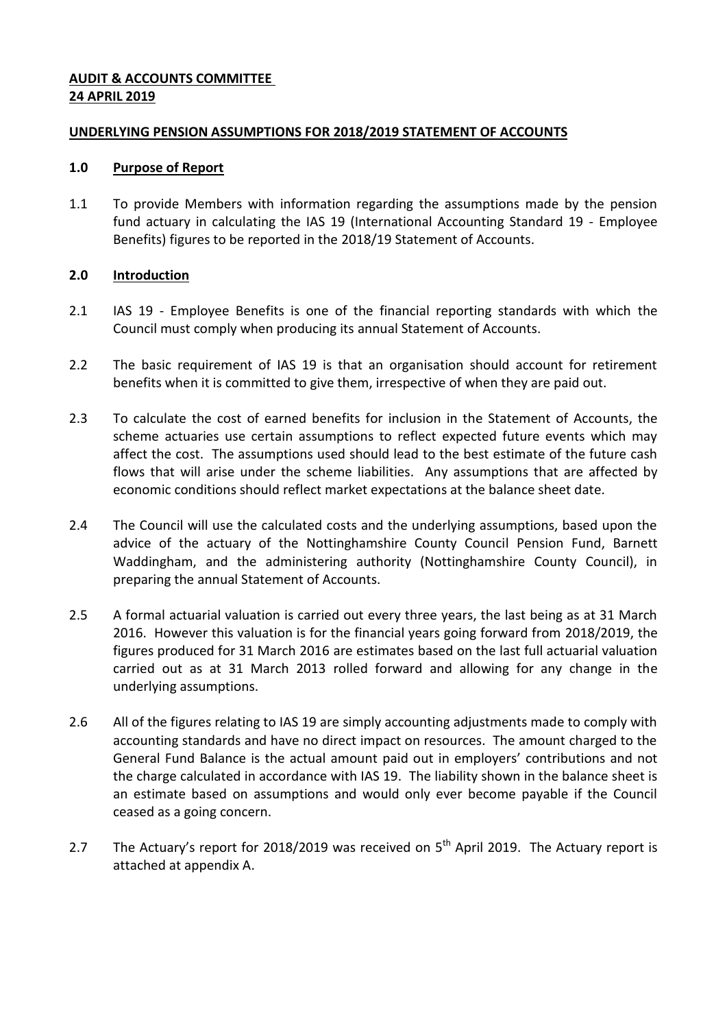## **AUDIT & ACCOUNTS COMMITTEE 24 APRIL 2019**

## **UNDERLYING PENSION ASSUMPTIONS FOR 2018/2019 STATEMENT OF ACCOUNTS**

### **1.0 Purpose of Report**

1.1 To provide Members with information regarding the assumptions made by the pension fund actuary in calculating the IAS 19 (International Accounting Standard 19 - Employee Benefits) figures to be reported in the 2018/19 Statement of Accounts.

# **2.0 Introduction**

- 2.1 IAS 19 Employee Benefits is one of the financial reporting standards with which the Council must comply when producing its annual Statement of Accounts.
- 2.2 The basic requirement of IAS 19 is that an organisation should account for retirement benefits when it is committed to give them, irrespective of when they are paid out.
- 2.3 To calculate the cost of earned benefits for inclusion in the Statement of Accounts, the scheme actuaries use certain assumptions to reflect expected future events which may affect the cost. The assumptions used should lead to the best estimate of the future cash flows that will arise under the scheme liabilities. Any assumptions that are affected by economic conditions should reflect market expectations at the balance sheet date.
- 2.4 The Council will use the calculated costs and the underlying assumptions, based upon the advice of the actuary of the Nottinghamshire County Council Pension Fund, Barnett Waddingham, and the administering authority (Nottinghamshire County Council), in preparing the annual Statement of Accounts.
- 2.5 A formal actuarial valuation is carried out every three years, the last being as at 31 March 2016. However this valuation is for the financial years going forward from 2018/2019, the figures produced for 31 March 2016 are estimates based on the last full actuarial valuation carried out as at 31 March 2013 rolled forward and allowing for any change in the underlying assumptions.
- 2.6 All of the figures relating to IAS 19 are simply accounting adjustments made to comply with accounting standards and have no direct impact on resources. The amount charged to the General Fund Balance is the actual amount paid out in employers' contributions and not the charge calculated in accordance with IAS 19. The liability shown in the balance sheet is an estimate based on assumptions and would only ever become payable if the Council ceased as a going concern.
- 2.7 The Actuary's report for 2018/2019 was received on  $5<sup>th</sup>$  April 2019. The Actuary report is attached at appendix A.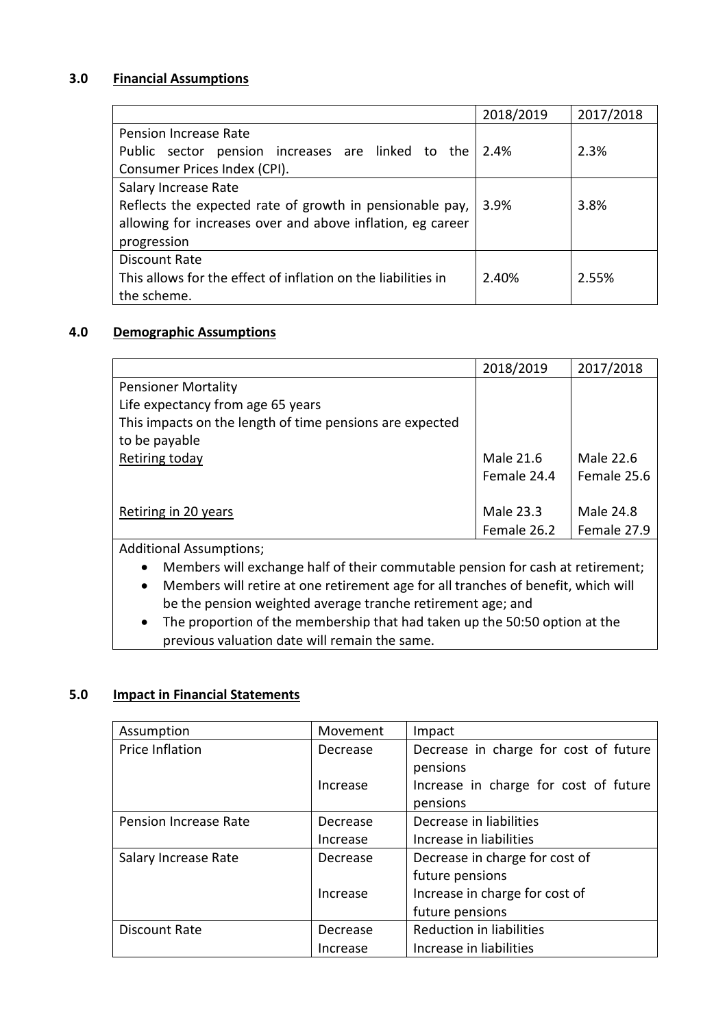# **3.0 Financial Assumptions**

|                                                               | 2018/2019 | 2017/2018 |
|---------------------------------------------------------------|-----------|-----------|
| Pension Increase Rate                                         |           |           |
| Public sector pension increases are linked to the             | 2.4%      | 2.3%      |
| Consumer Prices Index (CPI).                                  |           |           |
| Salary Increase Rate                                          |           |           |
| Reflects the expected rate of growth in pensionable pay,      | 3.9%      | 3.8%      |
| allowing for increases over and above inflation, eg career    |           |           |
| progression                                                   |           |           |
| Discount Rate                                                 |           |           |
| This allows for the effect of inflation on the liabilities in | 2.40%     | 2.55%     |
| the scheme.                                                   |           |           |

# **4.0 Demographic Assumptions**

|                                                          | 2018/2019   | 2017/2018   |
|----------------------------------------------------------|-------------|-------------|
| <b>Pensioner Mortality</b>                               |             |             |
| Life expectancy from age 65 years                        |             |             |
| This impacts on the length of time pensions are expected |             |             |
| to be payable                                            |             |             |
| Retiring today                                           | Male 21.6   | Male 22.6   |
|                                                          | Female 24.4 | Female 25.6 |
|                                                          |             |             |
| Retiring in 20 years                                     | Male 23.3   | Male 24.8   |
|                                                          | Female 26.2 | Female 27.9 |
| <b>Additional Assumptions;</b>                           |             |             |

Members will exchange half of their commutable pension for cash at retirement;

- Members will retire at one retirement age for all tranches of benefit, which will be the pension weighted average tranche retirement age; and
- The proportion of the membership that had taken up the 50:50 option at the previous valuation date will remain the same.

# **5.0 Impact in Financial Statements**

| Assumption                   | Movement | Impact                                |
|------------------------------|----------|---------------------------------------|
| Price Inflation              | Decrease | Decrease in charge for cost of future |
|                              |          | pensions                              |
|                              | Increase | Increase in charge for cost of future |
|                              |          | pensions                              |
| <b>Pension Increase Rate</b> | Decrease | Decrease in liabilities               |
|                              | Increase | Increase in liabilities               |
| Salary Increase Rate         | Decrease | Decrease in charge for cost of        |
|                              |          | future pensions                       |
|                              | Increase | Increase in charge for cost of        |
|                              |          | future pensions                       |
| Discount Rate                | Decrease | <b>Reduction in liabilities</b>       |
|                              | Increase | Increase in liabilities               |